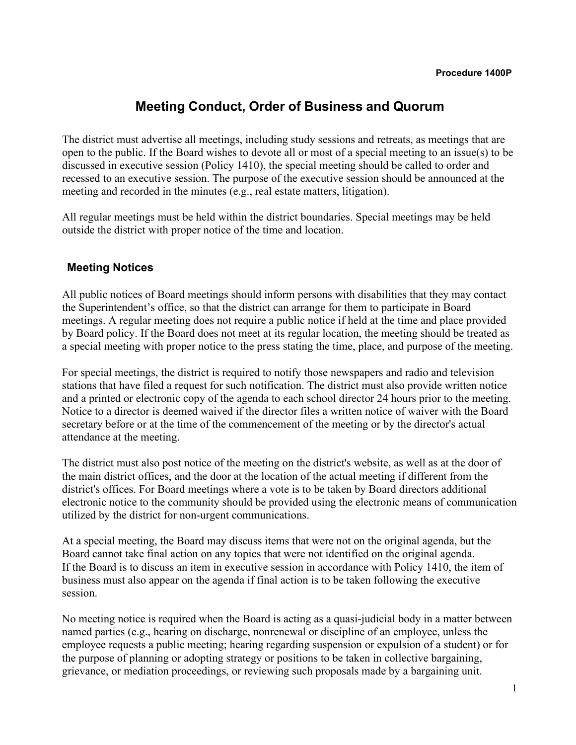# **Meeting Conduct, Order of Business and Quorum**

The district must advertise all meetings, including study sessions and retreats, as meetings that are open to the public. If the Board wishes to devote all or most of a special meeting to an issue(s) to be discussed in executive session (Policy 1410), the special meeting should be called to order and recessed to an executive session. The purpose of the executive session should be announced at the meeting and recorded in the minutes (e.g., real estate matters, litigation).

All regular meetings must be held within the district boundaries. Special meetings may be held outside the district with proper notice of the time and location.

#### **Meeting Notices**

All public notices of Board meetings should inform persons with disabilities that they may contact the Superintendent's office, so that the district can arrange for them to participate in Board meetings. A regular meeting does not require a public notice if held at the time and place provided by Board policy. If the Board does not meet at its regular location, the meeting should be treated as a special meeting with proper notice to the press stating the time, place, and purpose of the meeting.

For special meetings, the district is required to notify those newspapers and radio and television stations that have filed a request for such notification. The district must also provide written notice and a printed or electronic copy of the agenda to each school director 24 hours prior to the meeting. Notice to a director is deemed waived if the director files a written notice of waiver with the Board secretary before or at the time of the commencement of the meeting or by the director's actual attendance at the meeting.

The district must also post notice of the meeting on the district's website, as well as at the door of the main district offices, and the door at the location of the actual meeting if different from the district's offices. For Board meetings where a vote is to be taken by Board directors additional electronic notice to the community should be provided using the electronic means of communication utilized by the district for non-urgent communications.

At a special meeting, the Board may discuss items that were not on the original agenda, but the Board cannot take final action on any topics that were not identified on the original agenda. If the Board is to discuss an item in executive session in accordance with Policy 1410, the item of business must also appear on the agenda if final action is to be taken following the executive session.

No meeting notice is required when the Board is acting as a quasi-judicial body in a matter between named parties (e.g., hearing on discharge, nonrenewal or discipline of an employee, unless the employee requests a public meeting; hearing regarding suspension or expulsion of a student) or for the purpose of planning or adopting strategy or positions to be taken in collective bargaining, grievance, or mediation proceedings, or reviewing such proposals made by a bargaining unit.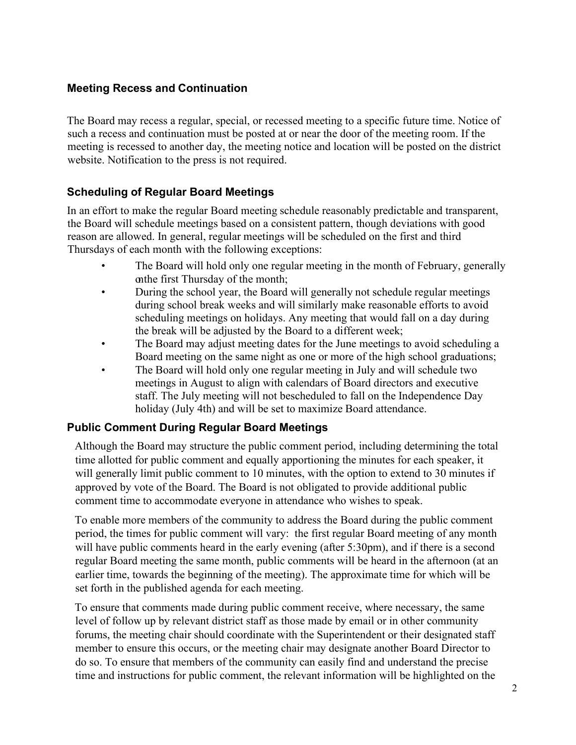## **Meeting Recess and Continuation**

The Board may recess a regular, special, or recessed meeting to a specific future time. Notice of such a recess and continuation must be posted at or near the door of the meeting room. If the meeting is recessed to another day, the meeting notice and location will be posted on the district website. Notification to the press is not required.

# **Scheduling of Regular Board Meetings**

In an effort to make the regular Board meeting schedule reasonably predictable and transparent, the Board will schedule meetings based on a consistent pattern, though deviations with good reason are allowed. In general, regular meetings will be scheduled on the first and third Thursdays of each month with the following exceptions:

- The Board will hold only one regular meeting in the month of February, generally onthe first Thursday of the month;
- During the school year, the Board will generally not schedule regular meetings during school break weeks and will similarly make reasonable efforts to avoid scheduling meetings on holidays. Any meeting that would fall on a day during the break will be adjusted by the Board to a different week;
- The Board may adjust meeting dates for the June meetings to avoid scheduling a Board meeting on the same night as one or more of the high school graduations;
- The Board will hold only one regular meeting in July and will schedule two meetings in August to align with calendars of Board directors and executive staff. The July meeting will not bescheduled to fall on the Independence Day holiday (July 4th) and will be set to maximize Board attendance.

### **Public Comment During Regular Board Meetings**

Although the Board may structure the public comment period, including determining the total time allotted for public comment and equally apportioning the minutes for each speaker, it will generally limit public comment to 10 minutes, with the option to extend to 30 minutes if approved by vote of the Board. The Board is not obligated to provide additional public comment time to accommodate everyone in attendance who wishes to speak.

To enable more members of the community to address the Board during the public comment period, the times for public comment will vary: the first regular Board meeting of any month will have public comments heard in the early evening (after 5:30pm), and if there is a second regular Board meeting the same month, public comments will be heard in the afternoon (at an earlier time, towards the beginning of the meeting). The approximate time for which will be set forth in the published agenda for each meeting.

To ensure that comments made during public comment receive, where necessary, the same level of follow up by relevant district staff as those made by email or in other community forums, the meeting chair should coordinate with the Superintendent or their designated staff member to ensure this occurs, or the meeting chair may designate another Board Director to do so. To ensure that members of the community can easily find and understand the precise time and instructions for public comment, the relevant information will be highlighted on the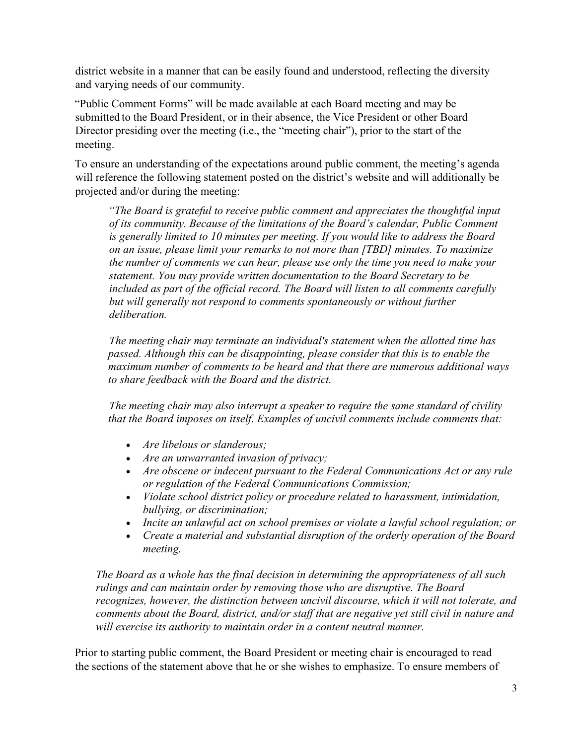district website in a manner that can be easily found and understood, reflecting the diversity and varying needs of our community.

"Public Comment Forms" will be made available at each Board meeting and may be submitted to the Board President, or in their absence, the Vice President or other Board Director presiding over the meeting (i.e., the "meeting chair"), prior to the start of the meeting.

To ensure an understanding of the expectations around public comment, the meeting's agenda will reference the following statement posted on the district's website and will additionally be projected and/or during the meeting:

*"The Board is grateful to receive public comment and appreciates the thoughtful input of its community. Because of the limitations of the Board's calendar, Public Comment is generally limited to 10 minutes per meeting. If you would like to address the Board on an issue, please limit your remarks to not more than [TBD] minutes. To maximize the number of comments we can hear, please use only the time you need to make your statement. You may provide written documentation to the Board Secretary to be included as part of the official record. The Board will listen to all comments carefully but will generally not respond to comments spontaneously or without further deliberation.* 

*The meeting chair may terminate an individual's statement when the allotted time has passed. Although this can be disappointing, please consider that this is to enable the maximum number of comments to be heard and that there are numerous additional ways to share feedback with the Board and the district.*

*The meeting chair may also interrupt a speaker to require the same standard of civility that the Board imposes on itself. Examples of uncivil comments include comments that:*

- *Are libelous or slanderous;*
- *Are an unwarranted invasion of privacy;*
- *Are obscene or indecent pursuant to the Federal Communications Act or any rule or regulation of the Federal Communications Commission;*
- *Violate school district policy or procedure related to harassment, intimidation, bullying, or discrimination;*
- *Incite an unlawful act on school premises or violate a lawful school regulation; or*
- *Create a material and substantial disruption of the orderly operation of the Board meeting.*

*The Board as a whole has the final decision in determining the appropriateness of all such rulings and can maintain order by removing those who are disruptive. The Board recognizes, however, the distinction between uncivil discourse, which it will not tolerate, and comments about the Board, district, and/or staff that are negative yet still civil in nature and will exercise its authority to maintain order in a content neutral manner.*

Prior to starting public comment, the Board President or meeting chair is encouraged to read the sections of the statement above that he or she wishes to emphasize. To ensure members of